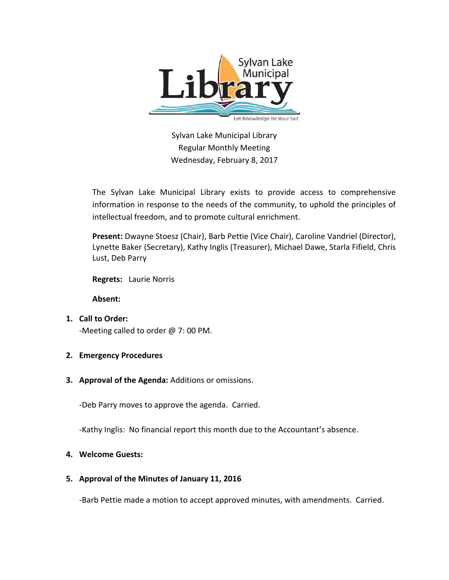

Sylvan Lake Municipal Library Regular Monthly Meeting Wednesday, February 8, 2017

The Sylvan Lake Municipal Library exists to provide access to comprehensive information in response to the needs of the community, to uphold the principles of intellectual freedom, and to promote cultural enrichment.

**Present:** Dwayne Stoesz (Chair), Barb Pettie (Vice Chair), Caroline Vandriel (Director), Lynette Baker (Secretary), Kathy Inglis (Treasurer), Michael Dawe, Starla Fifield, Chris Lust, Deb Parry

**Regrets:** Laurie Norris

**Absent:**

**1. Call to Order:** 

-Meeting called to order @ 7: 00 PM.

- **2. Emergency Procedures**
- **3. Approval of the Agenda:** Additions or omissions.

-Deb Parry moves to approve the agenda. Carried.

-Kathy Inglis: No financial report this month due to the Accountant's absence.

### **4. Welcome Guests:**

### **5. Approval of the Minutes of January 11, 2016**

-Barb Pettie made a motion to accept approved minutes, with amendments. Carried.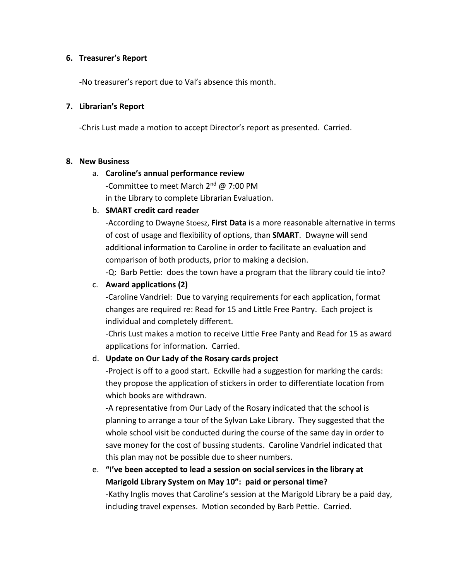### **6. Treasurer's Report**

-No treasurer's report due to Val's absence this month.

## **7. Librarian's Report**

-Chris Lust made a motion to accept Director's report as presented. Carried.

### **8. New Business**

## a. **Caroline's annual performance review**

-Committee to meet March 2<sup>nd</sup> @ 7:00 PM in the Library to complete Librarian Evaluation.

## b. **SMART credit card reader**

-According to Dwayne Stoesz, **First Data** is a more reasonable alternative in terms of cost of usage and flexibility of options, than **SMART**. Dwayne will send additional information to Caroline in order to facilitate an evaluation and comparison of both products, prior to making a decision.

-Q: Barb Pettie: does the town have a program that the library could tie into?

## c. **Award applications (2)**

-Caroline Vandriel: Due to varying requirements for each application, format changes are required re: Read for 15 and Little Free Pantry. Each project is individual and completely different.

-Chris Lust makes a motion to receive Little Free Panty and Read for 15 as award applications for information. Carried.

## d. **Update on Our Lady of the Rosary cards project**

-Project is off to a good start. Eckville had a suggestion for marking the cards: they propose the application of stickers in order to differentiate location from which books are withdrawn.

-A representative from Our Lady of the Rosary indicated that the school is planning to arrange a tour of the Sylvan Lake Library. They suggested that the whole school visit be conducted during the course of the same day in order to save money for the cost of bussing students. Caroline Vandriel indicated that this plan may not be possible due to sheer numbers.

e. **"I've been accepted to lead a session on social services in the library at Marigold Library System on May 10": paid or personal time?** -Kathy Inglis moves that Caroline's session at the Marigold Library be a paid day, including travel expenses. Motion seconded by Barb Pettie. Carried.